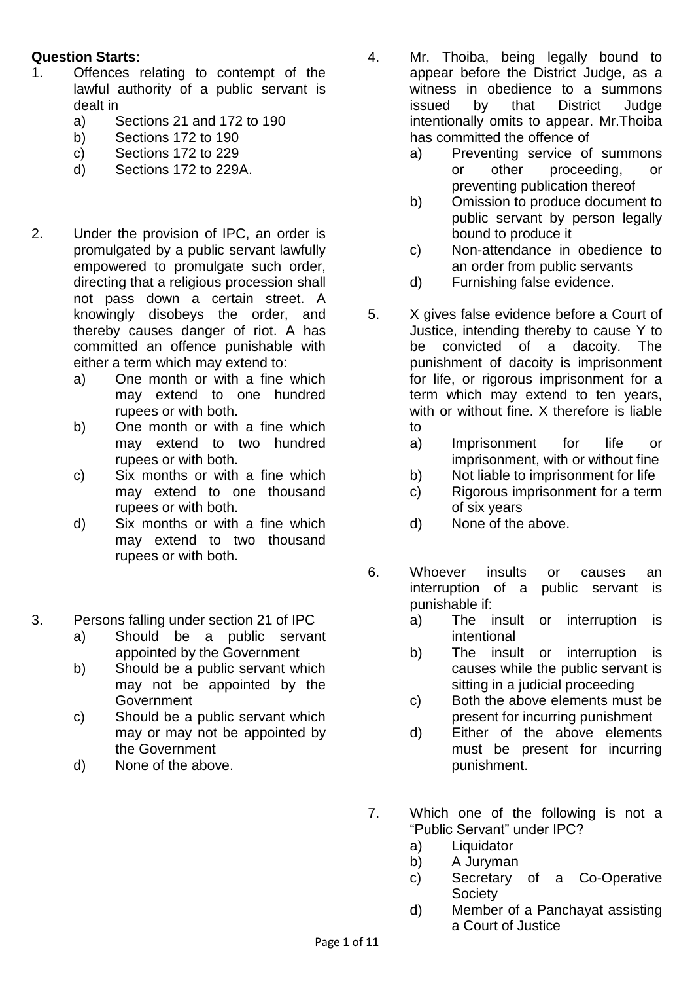## **Question Starts:**

- 1. Offences relating to contempt of the lawful authority of a public servant is dealt in
	- a) Sections 21 and 172 to 190
	- b) Sections 172 to 190
	- c) Sections 172 to 229
	- d) Sections 172 to 229A.
- 2. Under the provision of IPC, an order is promulgated by a public servant lawfully empowered to promulgate such order, directing that a religious procession shall not pass down a certain street. A knowingly disobeys the order, and thereby causes danger of riot. A has committed an offence punishable with either a term which may extend to:
	- a) One month or with a fine which may extend to one hundred rupees or with both.
	- b) One month or with a fine which may extend to two hundred rupees or with both.
	- c) Six months or with a fine which may extend to one thousand rupees or with both.
	- d) Six months or with a fine which may extend to two thousand rupees or with both.
- 3. Persons falling under section 21 of IPC
	- a) Should be a public servant appointed by the Government
	- b) Should be a public servant which may not be appointed by the Government
	- c) Should be a public servant which may or may not be appointed by the Government
	- d) None of the above.

4. Mr. Thoiba, being legally bound to appear before the District Judge, as a witness in obedience to a summons issued by that District Judge intentionally omits to appear. Mr.Thoiba has committed the offence of

- a) Preventing service of summons or other proceeding, or preventing publication thereof
- b) Omission to produce document to public servant by person legally bound to produce it
- c) Non-attendance in obedience to an order from public servants
- d) Furnishing false evidence.
- 5. X gives false evidence before a Court of Justice, intending thereby to cause Y to be convicted of a dacoity. The punishment of dacoity is imprisonment for life, or rigorous imprisonment for a term which may extend to ten years, with or without fine. X therefore is liable to
	- a) Imprisonment for life or imprisonment, with or without fine
	- b) Not liable to imprisonment for life
	- c) Rigorous imprisonment for a term of six years
	- d) None of the above.
- 6. Whoever insults or causes an interruption of a public servant is punishable if:
	- a) The insult or interruption is intentional
	- b) The insult or interruption is causes while the public servant is sitting in a judicial proceeding
	- c) Both the above elements must be present for incurring punishment
	- d) Either of the above elements must be present for incurring punishment.
- 7. Which one of the following is not a "Public Servant" under IPC?
	- a) Liquidator
	- b) A Juryman
	- c) Secretary of a Co-Operative **Society**
	- d) Member of a Panchayat assisting a Court of Justice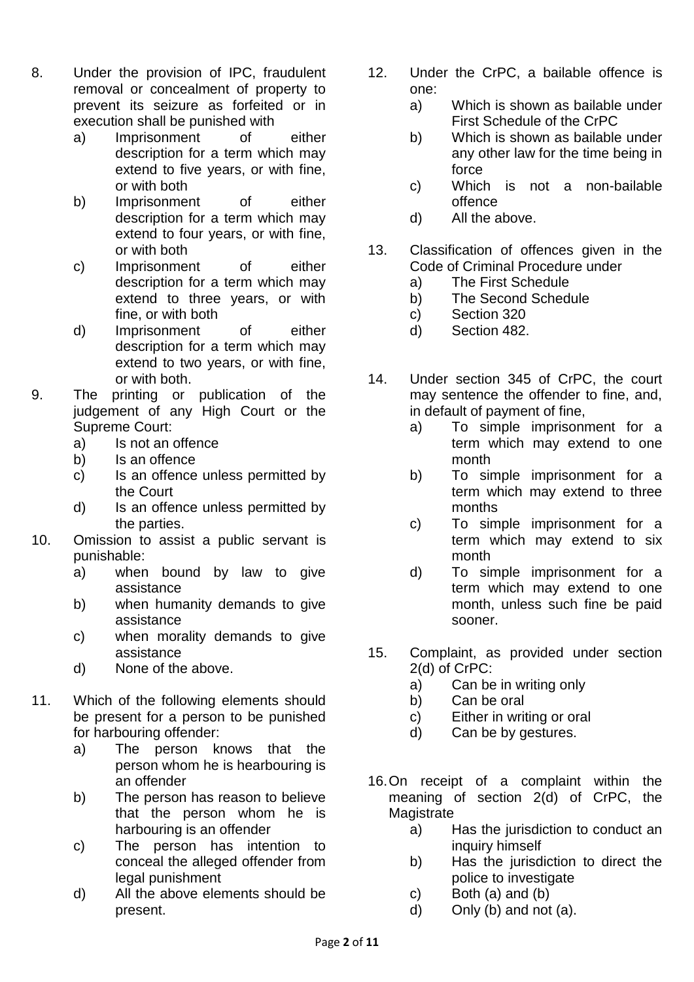- 8. Under the provision of IPC, fraudulent removal or concealment of property to prevent its seizure as forfeited or in execution shall be punished with
	- a) Imprisonment of either description for a term which may extend to five years, or with fine, or with both
	- b) Imprisonment of either description for a term which may extend to four years, or with fine, or with both
	- c) Imprisonment of either description for a term which may extend to three years, or with fine, or with both
	- d) Imprisonment of either description for a term which may extend to two years, or with fine, or with both.
- 9. The printing or publication of the judgement of any High Court or the Supreme Court:
	- a) Is not an offence
	- b) Is an offence
	- c) Is an offence unless permitted by the Court
	- d) Is an offence unless permitted by the parties.
- 10. Omission to assist a public servant is punishable:
	- a) when bound by law to give assistance
	- b) when humanity demands to give assistance
	- c) when morality demands to give assistance
	- d) None of the above.
- 11. Which of the following elements should be present for a person to be punished for harbouring offender:
	- a) The person knows that the person whom he is hearbouring is an offender
	- b) The person has reason to believe that the person whom he is harbouring is an offender
	- c) The person has intention to conceal the alleged offender from legal punishment
	- d) All the above elements should be present.
- 12. Under the CrPC, a bailable offence is one:
	- a) Which is shown as bailable under First Schedule of the CrPC
	- b) Which is shown as bailable under any other law for the time being in force
	- c) Which is not a non-bailable offence
	- d) All the above.
- 13. Classification of offences given in the Code of Criminal Procedure under
	- a) The First Schedule
	- b) The Second Schedule
	- c) Section 320
	- d) Section 482.
- 14. Under section 345 of CrPC, the court may sentence the offender to fine, and, in default of payment of fine,
	- a) To simple imprisonment for a term which may extend to one month
	- b) To simple imprisonment for a term which may extend to three months
	- c) To simple imprisonment for a term which may extend to six month
	- d) To simple imprisonment for a term which may extend to one month, unless such fine be paid sooner.
- 15. Complaint, as provided under section 2(d) of CrPC:
	- a) Can be in writing only
	- b) Can be oral
	- c) Either in writing or oral
	- d) Can be by gestures.
- 16.On receipt of a complaint within the meaning of section 2(d) of CrPC, the **Magistrate** 
	- a) Has the jurisdiction to conduct an inquiry himself
	- b) Has the jurisdiction to direct the police to investigate
	- c) Both (a) and (b)
	- d) Only (b) and not (a).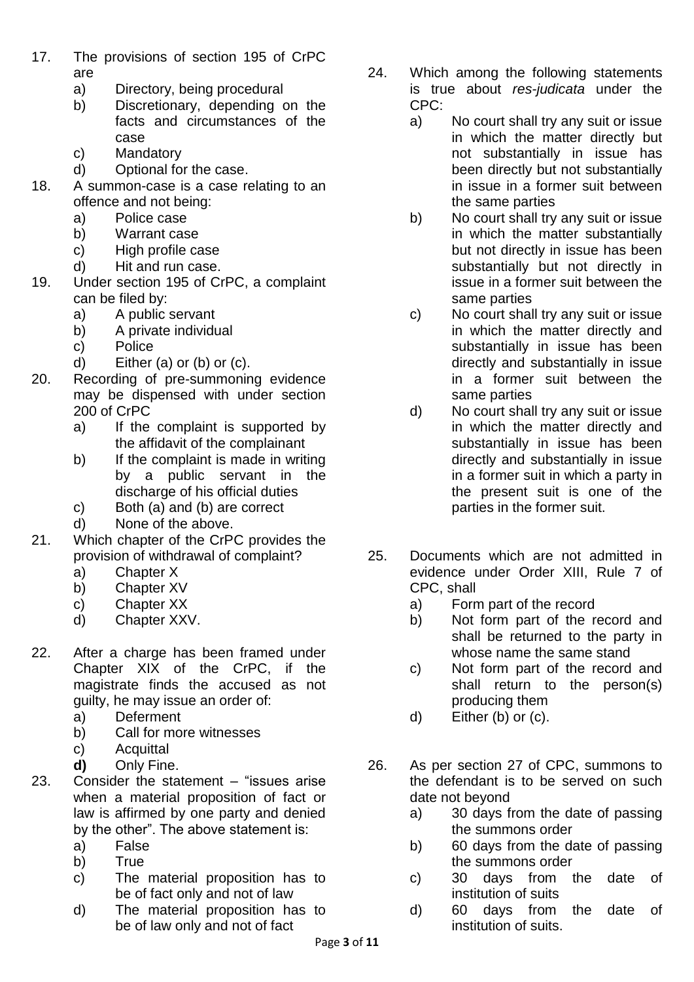- 17. The provisions of section 195 of CrPC are
	- a) Directory, being procedural
	- b) Discretionary, depending on the facts and circumstances of the case
	- c) Mandatory
	- d) Optional for the case.
- 18. A summon-case is a case relating to an offence and not being:
	- a) Police case
	- b) Warrant case
	- c) High profile case
	- d) Hit and run case.
- 19. Under section 195 of CrPC, a complaint can be filed by:
	- a) A public servant
	- b) A private individual
	- c) Police
	- d) Either (a) or (b) or (c).
- 20. Recording of pre-summoning evidence may be dispensed with under section 200 of CrPC
	- a) If the complaint is supported by the affidavit of the complainant
	- b) If the complaint is made in writing by a public servant in the discharge of his official duties
	- c) Both (a) and (b) are correct
	- d) None of the above.
- 21. Which chapter of the CrPC provides the provision of withdrawal of complaint?
	- a) Chapter X
	- b) Chapter XV
	- c) Chapter XX
	- d) Chapter XXV.
- 22. After a charge has been framed under Chapter XIX of the CrPC, if the magistrate finds the accused as not guilty, he may issue an order of:
	- a) Deferment
	- b) Call for more witnesses
	- c) Acquittal
	- **d)** Only Fine.
- 23. Consider the statement "issues arise when a material proposition of fact or law is affirmed by one party and denied by the other". The above statement is:
	- a) False
	- b) True
	- c) The material proposition has to be of fact only and not of law
	- d) The material proposition has to be of law only and not of fact
- 24. Which among the following statements is true about *res-judicata* under the CPC:
	- a) No court shall try any suit or issue in which the matter directly but not substantially in issue has been directly but not substantially in issue in a former suit between the same parties
	- b) No court shall try any suit or issue in which the matter substantially but not directly in issue has been substantially but not directly in issue in a former suit between the same parties
	- c) No court shall try any suit or issue in which the matter directly and substantially in issue has been directly and substantially in issue in a former suit between the same parties
	- d) No court shall try any suit or issue in which the matter directly and substantially in issue has been directly and substantially in issue in a former suit in which a party in the present suit is one of the parties in the former suit.
- 25. Documents which are not admitted in evidence under Order XIII, Rule 7 of CPC, shall
	- a) Form part of the record
	- b) Not form part of the record and shall be returned to the party in whose name the same stand
	- c) Not form part of the record and shall return to the person(s) producing them
	- d) Either (b) or (c).
- 26. As per section 27 of CPC, summons to the defendant is to be served on such date not beyond
	- a) 30 days from the date of passing the summons order
	- b) 60 days from the date of passing the summons order
	- c) 30 days from the date of institution of suits
	- d) 60 days from the date of institution of suits.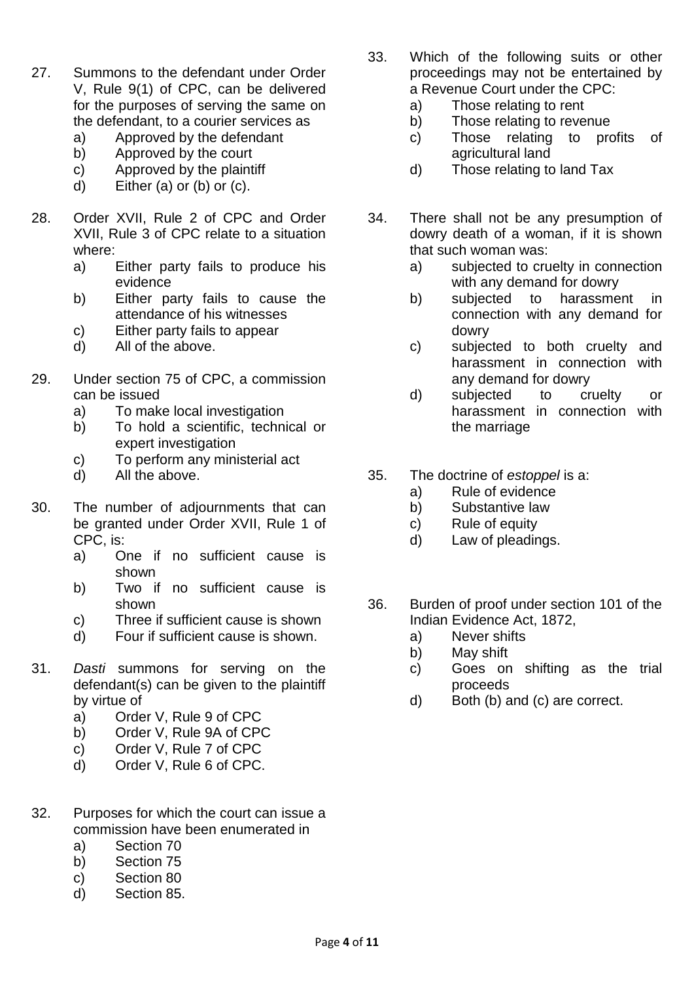- 27. Summons to the defendant under Order V, Rule 9(1) of CPC, can be delivered for the purposes of serving the same on the defendant, to a courier services as
	- a) Approved by the defendant
	- b) Approved by the court
	- c) Approved by the plaintiff
	- d) Either (a) or (b) or (c).
- 28. Order XVII, Rule 2 of CPC and Order XVII, Rule 3 of CPC relate to a situation where:
	- a) Either party fails to produce his evidence
	- b) Either party fails to cause the attendance of his witnesses
	- c) Either party fails to appear
	- d) All of the above.
- 29. Under section 75 of CPC, a commission can be issued
	- a) To make local investigation
	- b) To hold a scientific, technical or expert investigation
	- c) To perform any ministerial act
	- d) All the above.
- 30. The number of adjournments that can be granted under Order XVII, Rule 1 of CPC, is:
	- a) One if no sufficient cause is shown
	- b) Two if no sufficient cause is shown
	- c) Three if sufficient cause is shown
	- d) Four if sufficient cause is shown.
- 31. *Dasti* summons for serving on the defendant(s) can be given to the plaintiff by virtue of
	- a) Order V, Rule 9 of CPC
	- b) Order V, Rule 9A of CPC
	- c) Order V, Rule 7 of CPC
	- d) Order V, Rule 6 of CPC.
- 32. Purposes for which the court can issue a commission have been enumerated in
	- a) Section 70
	- b) Section 75
	- c) Section 80
	- d) Section 85.
- 33. Which of the following suits or other proceedings may not be entertained by a Revenue Court under the CPC:
	- a) Those relating to rent
	- b) Those relating to revenue
	- c) Those relating to profits of agricultural land
	- d) Those relating to land Tax
- 34. There shall not be any presumption of dowry death of a woman, if it is shown that such woman was:
	- a) subjected to cruelty in connection with any demand for dowry
	- b) subjected to harassment in connection with any demand for dowry
	- c) subjected to both cruelty and harassment in connection with any demand for dowry
	- d) subjected to cruelty or harassment in connection with the marriage
- 35. The doctrine of *estoppel* is a:
	- a) Rule of evidence
	- b) Substantive law
	- c) Rule of equity
	- d) Law of pleadings.
- 36. Burden of proof under section 101 of the Indian Evidence Act, 1872,
	- a) Never shifts
	- b) May shift
	- c) Goes on shifting as the trial proceeds
	- d) Both (b) and (c) are correct.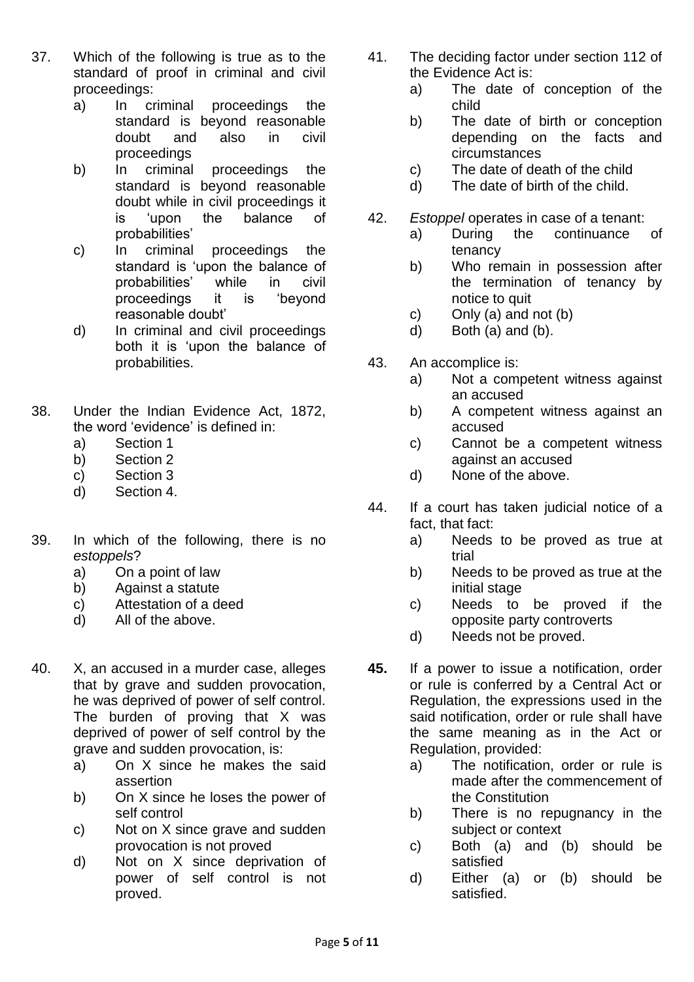- 37. Which of the following is true as to the standard of proof in criminal and civil proceedings:
	- a) In criminal proceedings the standard is beyond reasonable doubt and also in civil proceedings
	- b) In criminal proceedings the standard is beyond reasonable doubt while in civil proceedings it is 'upon the balance of probabilities'
	- c) In criminal proceedings the standard is 'upon the balance of probabilities' while in civil proceedings it is 'beyond reasonable doubt'
	- d) In criminal and civil proceedings both it is 'upon the balance of probabilities.
- 38. Under the Indian Evidence Act, 1872, the word 'evidence' is defined in:
	- a) Section 1
	- b) Section 2
	- c) Section 3
	- d) Section 4.
- 39. In which of the following, there is no *estoppels*?
	- a) On a point of law
	- b) Against a statute
	- c) Attestation of a deed
	- d) All of the above.
- 40. X, an accused in a murder case, alleges that by grave and sudden provocation, he was deprived of power of self control. The burden of proving that X was deprived of power of self control by the grave and sudden provocation, is:
	- a) On X since he makes the said assertion
	- b) On X since he loses the power of self control
	- c) Not on X since grave and sudden provocation is not proved
	- d) Not on X since deprivation of power of self control is not proved.
- 41. The deciding factor under section 112 of the Evidence Act is:
	- a) The date of conception of the child
	- b) The date of birth or conception depending on the facts and circumstances
	- c) The date of death of the child
	- d) The date of birth of the child.
- 42. *Estoppel* operates in case of a tenant:
	- a) During the continuance of tenancy
	- b) Who remain in possession after the termination of tenancy by notice to quit
	- c) Only (a) and not (b)
	- d) Both (a) and (b).
- 43. An accomplice is:
	- a) Not a competent witness against an accused
	- b) A competent witness against an accused
	- c) Cannot be a competent witness against an accused
	- d) None of the above.
- 44. If a court has taken judicial notice of a fact, that fact:
	- a) Needs to be proved as true at trial
	- b) Needs to be proved as true at the initial stage
	- c) Needs to be proved if the opposite party controverts
	- d) Needs not be proved.
- **45.** If a power to issue a notification, order or rule is conferred by a Central Act or Regulation, the expressions used in the said notification, order or rule shall have the same meaning as in the Act or Regulation, provided:
	- a) The notification, order or rule is made after the commencement of the Constitution
	- b) There is no repugnancy in the subject or context
	- c) Both (a) and (b) should be satisfied
	- d) Either (a) or (b) should be satisfied.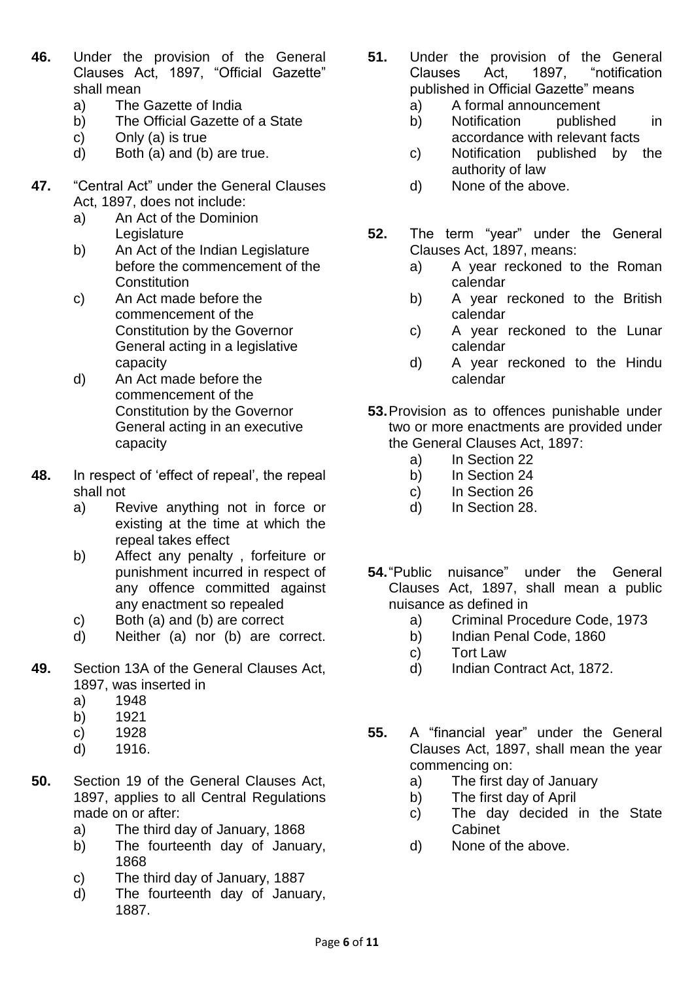- **46.** Under the provision of the General Clauses Act, 1897, "Official Gazette" shall mean
	- a) The Gazette of India
	- b) The Official Gazette of a State
	- c) Only (a) is true
	- d) Both (a) and (b) are true.
- **47.** "Central Act" under the General Clauses Act, 1897, does not include:
	- a) An Act of the Dominion **Legislature**
	- b) An Act of the Indian Legislature before the commencement of the **Constitution**
	- c) An Act made before the commencement of the Constitution by the Governor General acting in a legislative capacity
	- d) An Act made before the commencement of the Constitution by the Governor General acting in an executive capacity
- **48.** In respect of 'effect of repeal', the repeal shall not
	- a) Revive anything not in force or existing at the time at which the repeal takes effect
	- b) Affect any penalty , forfeiture or punishment incurred in respect of any offence committed against any enactment so repealed
	- c) Both (a) and (b) are correct
	- d) Neither (a) nor (b) are correct.
- **49.** Section 13A of the General Clauses Act, 1897, was inserted in
	- a) 1948
	- b) 1921
	- c) 1928
	- d) 1916.
- **50.** Section 19 of the General Clauses Act, 1897, applies to all Central Regulations made on or after:
	- a) The third day of January, 1868
	- b) The fourteenth day of January, 1868
	- c) The third day of January, 1887
	- d) The fourteenth day of January, 1887.
- **51.** Under the provision of the General Clauses Act, 1897, "notification published in Official Gazette" means
	- a) A formal announcement
	- b) Notification published in accordance with relevant facts
	- c) Notification published by the authority of law
	- d) None of the above.
- **52.** The term "year" under the General Clauses Act, 1897, means:
	- a) A year reckoned to the Roman calendar
	- b) A year reckoned to the British calendar
	- c) A year reckoned to the Lunar calendar
	- d) A year reckoned to the Hindu calendar
- **53.**Provision as to offences punishable under two or more enactments are provided under the General Clauses Act, 1897:
	- a) In Section 22
	- b) In Section 24
	- c) In Section 26
	- d) In Section 28.
- **54.**"Public nuisance" under the General Clauses Act, 1897, shall mean a public nuisance as defined in
	- a) Criminal Procedure Code, 1973
	- b) Indian Penal Code, 1860
	- c) Tort Law
	- d) Indian Contract Act, 1872.
- **55.** A "financial year" under the General Clauses Act, 1897, shall mean the year commencing on:
	- a) The first day of January
	- b) The first day of April
	- c) The day decided in the State Cabinet
	- d) None of the above.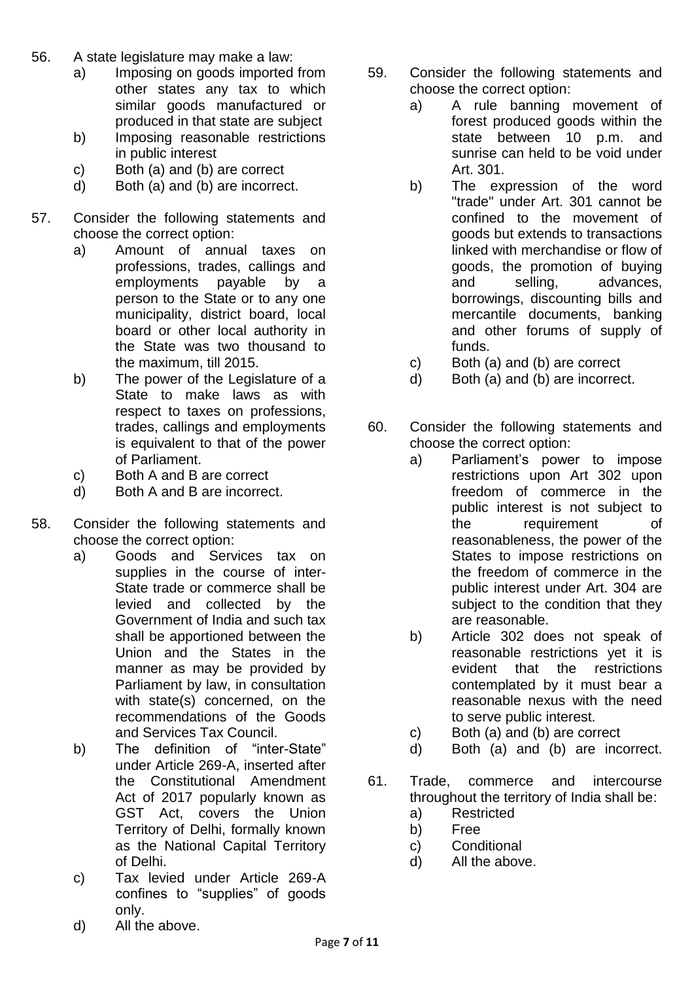- 56. A state legislature may make a law:
	- a) Imposing on goods imported from other states any tax to which similar goods manufactured or produced in that state are subject
	- b) Imposing reasonable restrictions in public interest
	- c) Both (a) and (b) are correct
	- d) Both (a) and (b) are incorrect.
- 57. Consider the following statements and choose the correct option:
	- a) Amount of annual taxes on professions, trades, callings and employments payable by a person to the State or to any one municipality, district board, local board or other local authority in the State was two thousand to the maximum, till 2015.
	- b) The power of the Legislature of a State to make laws as with respect to taxes on professions, trades, callings and employments is equivalent to that of the power of Parliament.
	- c) Both A and B are correct
	- d) Both A and B are incorrect.
- 58. Consider the following statements and choose the correct option:
	- a) Goods and Services tax on supplies in the course of inter-State trade or commerce shall be levied and collected by the Government of India and such tax shall be apportioned between the Union and the States in the manner as may be provided by Parliament by law, in consultation with state(s) concerned, on the recommendations of the Goods and Services Tax Council.
	- b) The definition of "inter-State" under Article 269-A, inserted after the Constitutional Amendment Act of 2017 popularly known as GST Act, covers the Union Territory of Delhi, formally known as the National Capital Territory of Delhi.
	- c) Tax levied under Article 269-A confines to "supplies" of goods only.
	- d) All the above.
- 59. Consider the following statements and choose the correct option:
	- a) A rule banning movement of forest produced goods within the state between 10 p.m. and sunrise can held to be void under Art. 301.
	- b) The expression of the word "trade" under Art. 301 cannot be confined to the movement of goods but extends to transactions linked with merchandise or flow of goods, the promotion of buying and selling, advances, borrowings, discounting bills and mercantile documents, banking and other forums of supply of funds.
	- c) Both (a) and (b) are correct
	- d) Both (a) and (b) are incorrect.
- 60. Consider the following statements and choose the correct option:
	- a) Parliament's power to impose restrictions upon Art 302 upon freedom of commerce in the public interest is not subject to the requirement of reasonableness, the power of the States to impose restrictions on the freedom of commerce in the public interest under Art. 304 are subject to the condition that they are reasonable.
	- b) Article 302 does not speak of reasonable restrictions yet it is evident that the restrictions contemplated by it must bear a reasonable nexus with the need to serve public interest.
	- c) Both (a) and (b) are correct
	- d) Both (a) and (b) are incorrect.
- 61. Trade, commerce and intercourse throughout the territory of India shall be:
	- a) Restricted
	- b) Free
	- c) Conditional
	- d) All the above.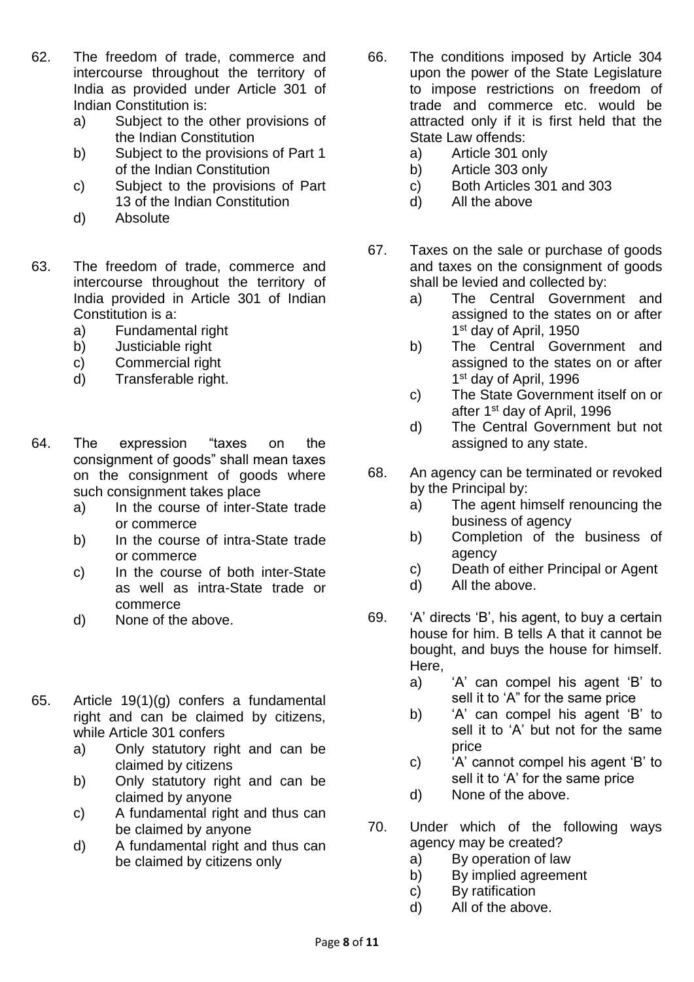- 62. The freedom of trade, commerce and intercourse throughout the territory of India as provided under Article 301 of Indian Constitution is:
	- a) Subject to the other provisions of the Indian Constitution
	- b) Subject to the provisions of Part 1 of the Indian Constitution
	- c) Subject to the provisions of Part 13 of the Indian Constitution
	- d) Absolute
- 63. The freedom of trade, commerce and intercourse throughout the territory of India provided in Article 301 of Indian Constitution is a:
	- a) Fundamental right
	- b) Justiciable right
	- c) Commercial right
	- d) Transferable right.
- 64. The expression "taxes on the consignment of goods" shall mean taxes on the consignment of goods where such consignment takes place
	- a) In the course of inter-State trade or commerce
	- b) In the course of intra-State trade or commerce
	- c) In the course of both inter-State as well as intra-State trade or commerce
	- d) None of the above.
- 65. Article 19(1)(g) confers a fundamental right and can be claimed by citizens, while Article 301 confers
	- a) Only statutory right and can be claimed by citizens
	- b) Only statutory right and can be claimed by anyone
	- c) A fundamental right and thus can be claimed by anyone
	- d) A fundamental right and thus can be claimed by citizens only
- 66. The conditions imposed by Article 304 upon the power of the State Legislature to impose restrictions on freedom of trade and commerce etc. would be attracted only if it is first held that the State Law offends:
	- a) Article 301 only
	- b) Article 303 only
	- c) Both Articles 301 and 303
	- d) All the above
- 67. Taxes on the sale or purchase of goods and taxes on the consignment of goods shall be levied and collected by:
	- a) The Central Government and assigned to the states on or after 1st day of April, 1950
	- b) The Central Government and assigned to the states on or after 1<sup>st</sup> day of April, 1996
	- c) The State Government itself on or after 1st day of April, 1996
	- d) The Central Government but not assigned to any state.
- 68. An agency can be terminated or revoked by the Principal by:
	- a) The agent himself renouncing the business of agency
	- b) Completion of the business of agency
	- c) Death of either Principal or Agent
	- d) All the above.
- 69. 'A' directs 'B', his agent, to buy a certain house for him. B tells A that it cannot be bought, and buys the house for himself. Here,
	- a) 'A' can compel his agent 'B' to sell it to 'A" for the same price
	- b) 'A' can compel his agent 'B' to sell it to 'A' but not for the same price
	- c) 'A' cannot compel his agent 'B' to sell it to 'A' for the same price
	- d) None of the above.
- 70. Under which of the following ways agency may be created?
	- a) By operation of law
	- b) By implied agreement
	- c) By ratification
	- d) All of the above.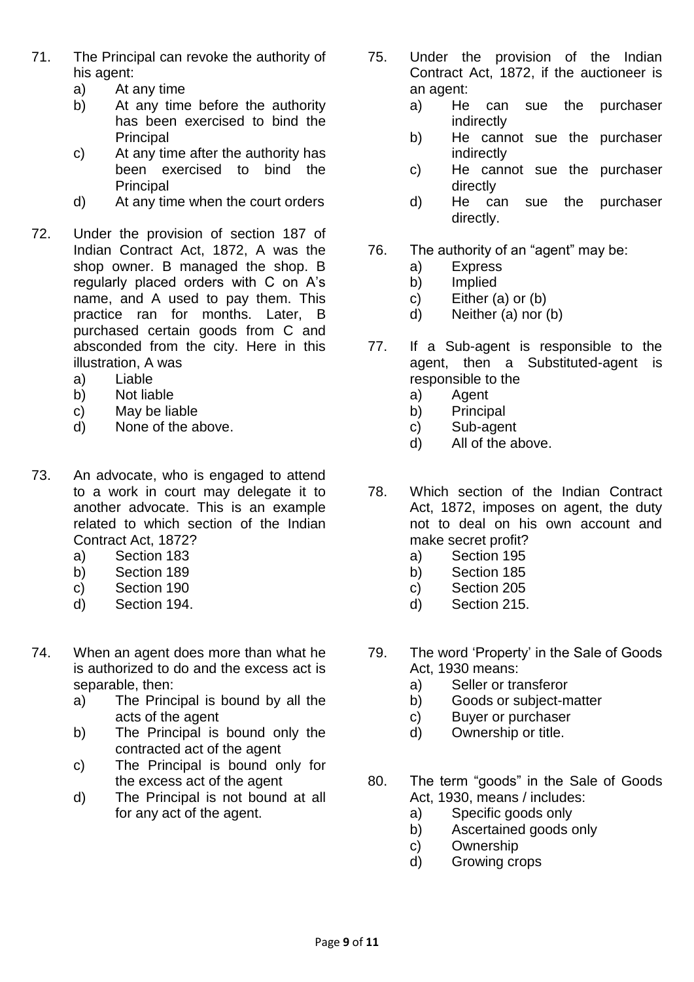- 71. The Principal can revoke the authority of his agent:
	- a) At any time
	- b) At any time before the authority has been exercised to bind the Principal
	- c) At any time after the authority has been exercised to bind the Principal
	- d) At any time when the court orders
- 72. Under the provision of section 187 of Indian Contract Act, 1872, A was the shop owner. B managed the shop. B regularly placed orders with C on A's name, and A used to pay them. This practice ran for months. Later, B purchased certain goods from C and absconded from the city. Here in this illustration, A was
	- a) Liable
	- b) Not liable
	- c) May be liable
	- d) None of the above.
- 73. An advocate, who is engaged to attend to a work in court may delegate it to another advocate. This is an example related to which section of the Indian Contract Act, 1872?
	- a) Section 183
	- b) Section 189
	- c) Section 190
	- d) Section 194.
- 74. When an agent does more than what he is authorized to do and the excess act is separable, then:
	- a) The Principal is bound by all the acts of the agent
	- b) The Principal is bound only the contracted act of the agent
	- c) The Principal is bound only for the excess act of the agent
	- d) The Principal is not bound at all for any act of the agent.
- 75. Under the provision of the Indian Contract Act, 1872, if the auctioneer is an agent:
	- a) He can sue the purchaser indirectly
	- b) He cannot sue the purchaser indirectly
	- c) He cannot sue the purchaser directly
	- d) He can sue the purchaser directly.
- 76. The authority of an "agent" may be:
	- a) Express
	- b) Implied
	- c) Either (a) or (b)
	- d) Neither (a) nor (b)
- 77. If a Sub-agent is responsible to the agent, then a Substituted-agent is responsible to the
	- a) Agent
	- b) Principal
	- c) Sub-agent
	- d) All of the above.
- 78. Which section of the Indian Contract Act, 1872, imposes on agent, the duty not to deal on his own account and make secret profit?
	- a) Section 195
	- b) Section 185
	- c) Section 205
	- d) Section 215.
- 79. The word 'Property' in the Sale of Goods Act, 1930 means:
	- a) Seller or transferor
	- b) Goods or subject-matter
	- c) Buyer or purchaser
	- d) Ownership or title.
- 80. The term "goods" in the Sale of Goods Act, 1930, means / includes:
	- a) Specific goods only
	- b) Ascertained goods only
	- c) Ownership
	- d) Growing crops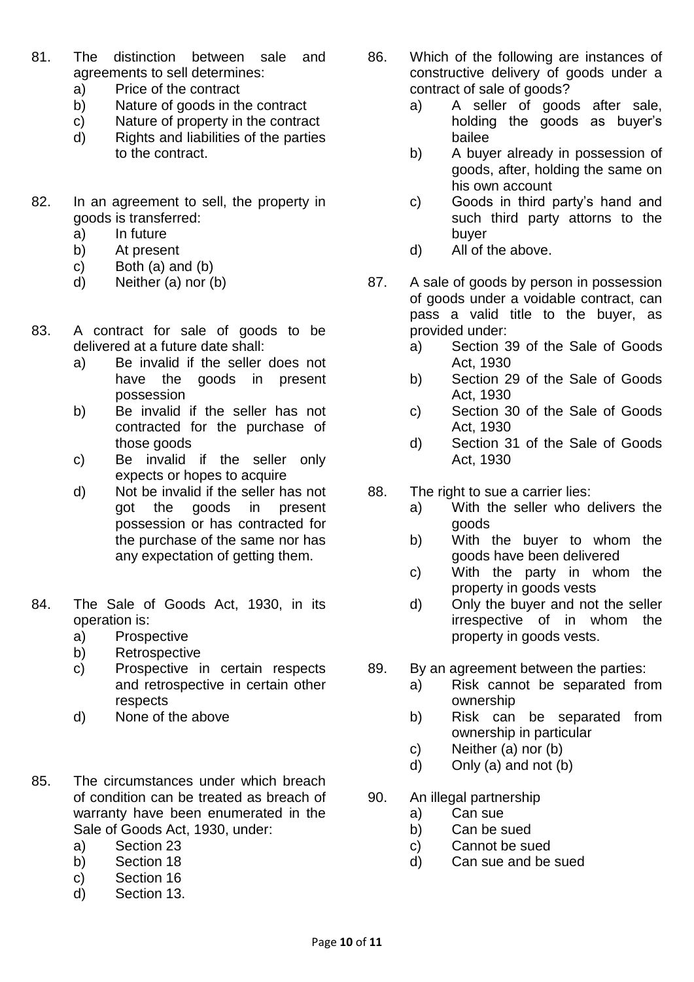- 81. The distinction between sale and agreements to sell determines:
	- a) Price of the contract
	- b) Nature of goods in the contract
	- c) Nature of property in the contract
	- d) Rights and liabilities of the parties to the contract.
- 82. In an agreement to sell, the property in goods is transferred:
	- a) In future
	- b) At present
	- c) Both (a) and (b)
	- d) Neither (a) nor (b)
- 83. A contract for sale of goods to be delivered at a future date shall:
	- a) Be invalid if the seller does not have the goods in present possession
	- b) Be invalid if the seller has not contracted for the purchase of those goods
	- c) Be invalid if the seller only expects or hopes to acquire
	- d) Not be invalid if the seller has not got the goods in present possession or has contracted for the purchase of the same nor has any expectation of getting them.
- 84. The Sale of Goods Act, 1930, in its operation is:
	- a) Prospective
	- b) Retrospective
	- c) Prospective in certain respects and retrospective in certain other respects
	- d) None of the above
- 85. The circumstances under which breach of condition can be treated as breach of warranty have been enumerated in the Sale of Goods Act, 1930, under:
	- a) Section 23
	- b) Section 18
	- c) Section 16
	- d) Section 13.
- 86. Which of the following are instances of constructive delivery of goods under a contract of sale of goods?
	- a) A seller of goods after sale, holding the goods as buyer's bailee
	- b) A buyer already in possession of goods, after, holding the same on his own account
	- c) Goods in third party's hand and such third party attorns to the buyer
	- d) All of the above.
- 87. A sale of goods by person in possession of goods under a voidable contract, can pass a valid title to the buyer, as provided under:
	- a) Section 39 of the Sale of Goods Act, 1930
	- b) Section 29 of the Sale of Goods Act, 1930
	- c) Section 30 of the Sale of Goods Act, 1930
	- d) Section 31 of the Sale of Goods Act, 1930
- 88. The right to sue a carrier lies:
	- a) With the seller who delivers the goods
	- b) With the buyer to whom the goods have been delivered
	- c) With the party in whom the property in goods vests
	- d) Only the buyer and not the seller irrespective of in whom the property in goods vests.
- 89. By an agreement between the parties:
	- a) Risk cannot be separated from ownership
	- b) Risk can be separated from ownership in particular
	- c) Neither (a) nor (b)
	- d) Only (a) and not (b)
- 90. An illegal partnership
	- a) Can sue
	- b) Can be sued
	- c) Cannot be sued
	- d) Can sue and be sued